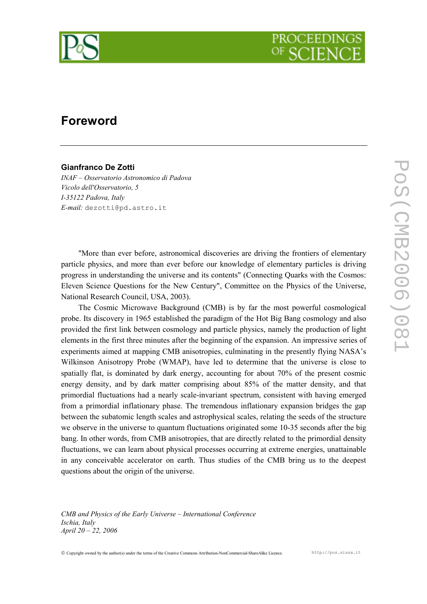

## Foreword

## Gianfranco De Zotti

INAF – Osservatorio Astronomico di Padova Vicolo dell'Osservatorio, 5 I-35122 Padova, Italy E-mail: dezotti@pd.astro.it

"More than ever before, astronomical discoveries are driving the frontiers of elementary particle physics, and more than ever before our knowledge of elementary particles is driving progress in understanding the universe and its contents" (Connecting Quarks with the Cosmos: Eleven Science Questions for the New Century", Committee on the Physics of the Universe, National Research Council, USA, 2003).

The Cosmic Microwave Background (CMB) is by far the most powerful cosmological probe. Its discovery in 1965 established the paradigm of the Hot Big Bang cosmology and also provided the first link between cosmology and particle physics, namely the production of light elements in the first three minutes after the beginning of the expansion. An impressive series of experiments aimed at mapping CMB anisotropies, culminating in the presently flying NASA's Wilkinson Anisotropy Probe (WMAP), have led to determine that the universe is close to spatially flat, is dominated by dark energy, accounting for about 70% of the present cosmic energy density, and by dark matter comprising about 85% of the matter density, and that primordial fluctuations had a nearly scale-invariant spectrum, consistent with having emerged from a primordial inflationary phase. The tremendous inflationary expansion bridges the gap between the subatomic length scales and astrophysical scales, relating the seeds of the structure we observe in the universe to quantum fluctuations originated some 10-35 seconds after the big bang. In other words, from CMB anisotropies, that are directly related to the primordial density fluctuations, we can learn about physical processes occurring at extreme energies, unattainable in any conceivable accelerator on earth. Thus studies of the CMB bring us to the deepest questions about the origin of the universe.

CMB and Physics of the Early Universe – International Conference Ischia, Italy April 20 – 22, 2006

Copyright owned by the author(s) under the terms of the Creative Commons Attribution-NonCommercial-ShareAlike Licence. http://pos.sissa.it